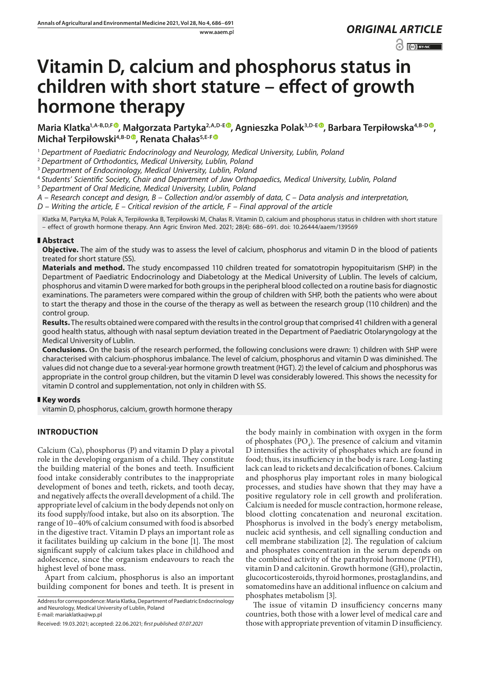www.aaem.pl *ORIGINAL [ARTICLE](https://creativecommons.org/licenses/by-nc/3.0/pl/deed.en)* 

 $\odot$   $\odot$  BY-NC

# **Vitamin D, calcium and phosphorus status in children with short stature – effect of growth hormone therapy**

**Maria Klatka1,A-B,D,F , Małgorzata Partyka2,A,D-E [,](https://orcid.org/0000-0002-4221-3587) Agnieszka Polak3,D-[E](https://orcid.org/0000-0001-8954-8774) , Barbara Terpiłowska4,B-D , Michał Terpiłowski4,B-D , Renata Chałas5,E-[F](https://orcid.org/0000-0002-1730-4540)**

<sup>1</sup> *Department of Paediatric Endocrinology and Neurology, Medical University, Lublin, Poland*

<sup>2</sup> *Department of Orthodontics, Medical University, Lublin, Poland*

<sup>3</sup> *Department of Endocrinology, Medical University, Lublin, Poland*

<sup>4</sup> *Students' Scientific Society, Chair and Department of Jaw Orthopaedics, Medical University, Lublin, Poland*

<sup>5</sup> *Department of Oral Medicine, Medical University, Lublin, Poland*

*A – Research concept and design, B – Collection and/or assembly of data, C – Data analysis and interpretation,* 

*D – Writing the article, E – Critical revision of the article, F – Final approval of the article*

Klatka M, Partyka M, Polak A, Terpiłowska B, Terpiłowski M, Chałas R. Vitamin D, calcium and phosphorus status in children with short stature – effect of growth hormone therapy. Ann Agric Environ Med. 2021; 28(4): 686–691. doi: 10.26444/aaem/139569

## **Abstract**

**Objective.** The aim of the study was to assess the level of calcium, phosphorus and vitamin D in the blood of patients treated for short stature (SS).

**Materials and method.** The study encompassed 110 children treated for somatotropin hypopituitarism (SHP) in the Department of Paediatric Endocrinology and Diabetology at the Medical University of Lublin. The levels of calcium, phosphorus and vitamin D were marked for both groups in the peripheral blood collected on a routine basis for diagnostic examinations. The parameters were compared within the group of children with SHP, both the patients who were about to start the therapy and those in the course of the therapy as well as between the research group (110 children) and the control group.

**Results.** The results obtained were compared with the results in the control group that comprised 41 children with a general good health status, although with nasal septum deviation treated in the Department of Paediatric Otolaryngology at the Medical University of Lublin.

**Conclusions.** On the basis of the research performed, the following conclusions were drawn: 1) children with SHP were characterised with calcium-phosphorus imbalance. The level of calcium, phosphorus and vitamin D was diminished. The values did not change due to a several-year hormone growth treatment (HGT). 2) the level of calcium and phosphorus was appropriate in the control group children, but the vitamin D level was considerably lowered. This shows the necessity for vitamin D control and supplementation, not only in children with SS.

## **Key words**

vitamin D, phosphorus, calcium, growth hormone therapy

# **INTRODUCTION**

Calcium (Ca), phosphorus (P) and vitamin D play a pivotal role in the developing organism of a child. They constitute the building material of the bones and teeth. Insufficient food intake considerably contributes to the inappropriate development of bones and teeth, rickets, and tooth decay, and negatively affects the overall development of a child. The appropriate level of calcium in the body depends not only on its food supply/food intake, but also on its absorption. The range of 10–40% of calcium consumed with food is absorbed in the digestive tract. Vitamin D plays an important role as it facilitates building up calcium in the bone [1]. The most significant supply of calcium takes place in childhood and adolescence, since the organism endeavours to reach the highest level of bone mass.

Apart from calcium, phosphorus is also an important building component for bones and teeth. It is present in

Address for correspondence: Maria Klatka, Department of Paediatric Endocrinology and Neurology, Medical University of Lublin, Poland E-mail: mariaklatka@wp.pl

the body mainly in combination with oxygen in the form of phosphates  $(PO<sub>4</sub>)$ . The presence of calcium and vitamin D intensifies the activity of phosphates which are found in food; thus, its insufficiency in the body is rare. Long-lasting lack can lead to rickets and decalcification of bones. Calcium and phosphorus play important roles in many biological processes, and studies have shown that they may have a positive regulatory role in cell growth and proliferation. Calcium is needed for muscle contraction, hormone release, blood clotting concatenation and neuronal excitation. Phosphorus is involved in the body's energy metabolism, nucleic acid synthesis, and cell signalling conduction and cell membrane stabilization [2]. The regulation of calcium and phosphates concentration in the serum depends on the combined activity of the parathyroid hormone (PTH), vitamin D and calcitonin. Growth hormone (GH), prolactin, glucocorticosteroids, thyroid hormones, prostaglandins, and somatomedins have an additional influence on calcium and phosphates metabolism [3].

The issue of vitamin D insufficiency concerns many countries, both those with a lower level of medical care and those with appropriate prevention of vitamin D insufficiency.

Received: 19.03.2021; accepted: 22.06.2021; *first published: 07.07.2021*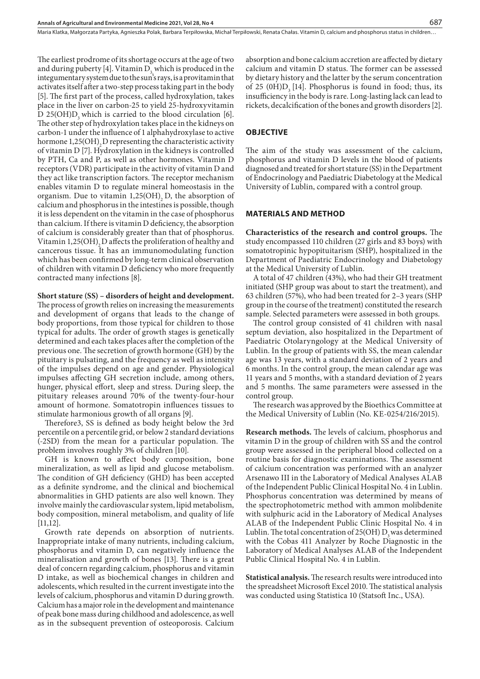Maria Klatka, Małgorzata Partyka, Agnieszka Polak, Barbara Terpiłowska, Michał Terpiłowski, Renata Chałas . Vitamin D, calcium and phosphorus status in children…

The earliest prodrome of its shortage occurs at the age of two and during puberty [4]. Vitamin  $D_3$  which is produced in the integumentary system due to the sun's rays, is a provitamin that activates itself after a two-step process taking part in the body [5]. The first part of the process, called hydroxylation, takes place in the liver on carbon-25 to yield 25-hydroxyvitamin D 25(OH)D<sub>2</sub> which is carried to the blood circulation [6]. The other step of hydroxylation takes place in the kidneys on carbon-1 under the influence of 1 alphahydroxylase to active hormone  $1,25(OH)$ <sub>2</sub> D representing the characteristic activity of vitamin D [7]. Hydroxylation in the kidneys is controlled by PTH, Ca and P, as well as other hormones. Vitamin D receptors (VDR) participate in the activity of vitamin D and they act like transcription factors. The receptor mechanism enables vitamin D to regulate mineral homeostasis in the organism. Due to vitamin  $1,25(OH)$ , D, the absorption of calcium and phosphorus in the intestines is possible, though it is less dependent on the vitamin in the case of phosphorus than calcium. If there is vitamin D deficiency, the absorption of calcium is considerably greater than that of phosphorus. Vitamin 1,25( $OH$ )<sub>2</sub> D affects the proliferation of healthy and cancerous tissue. It has an immunomodulating function which has been confirmed by long-term clinical observation of children with vitamin D deficiency who more frequently contracted many infections [8].

#### **Short stature (SS) – disorders of height and development.**

The process of growth relies on increasing the measurements and development of organs that leads to the change of body proportions, from those typical for children to those typical for adults. The order of growth stages is genetically determined and each takes places after the completion of the previous one. The secretion of growth hormone (GH) by the pituitary is pulsating, and the frequency as well as intensity of the impulses depend on age and gender. Physiological impulses affecting GH secretion include, among others, hunger, physical effort, sleep and stress. During sleep, the pituitary releases around 70% of the twenty-four-hour amount of hormone. Somatotropin influences tissues to stimulate harmonious growth of all organs [9].

Therefore3, SS is defined as body height below the 3rd percentile on a percentile grid, or below 2 standard deviations (-2SD) from the mean for a particular population. The problem involves roughly 3% of children [10].

GH is known to affect body composition, bone mineralization, as well as lipid and glucose metabolism. The condition of GH deficiency (GHD) has been accepted as a definite syndrome, and the clinical and biochemical abnormalities in GHD patients are also well known. They involve mainly the cardiovascular system, lipid metabolism, body composition, mineral metabolism, and quality of life [11,12].

Growth rate depends on absorption of nutrients. Inappropriate intake of many nutrients, including calcium, phosphorus and vitamin D, can negatively influence the mineralisation and growth of bones [13]. There is a great deal of concern regarding calcium, phosphorus and vitamin D intake, as well as biochemical changes in children and adolescents, which resulted in the current investigate into the levels of calcium, phosphorus and vitamin D during growth. Calcium has a major role in the development and maintenance of peak bone mass during childhood and adolescence, as well as in the subsequent prevention of osteoporosis. Calcium

absorption and bone calcium accretion are affected by dietary calcium and vitamin D status. The former can be assessed by dietary history and the latter by the serum concentration of 25  $(0H)D$ , [14]. Phosphorus is found in food; thus, its insufficiency in the body is rare. Long-lasting lack can lead to rickets, decalcification of the bones and growth disorders [2].

#### **OBJECTIVE**

The aim of the study was assessment of the calcium, phosphorus and vitamin D levels in the blood of patients diagnosed and treated for short stature (SS) in the Department of Endocrinology and Paediatric Diabetology at the Medical University of Lublin, compared with a control group.

#### **MATERIALS AND METHOD**

**Characteristics of the research and control groups.** The study encompassed 110 children (27 girls and 83 boys) with somatotropinic hypopituitarism (SHP), hospitalized in the Department of Paediatric Endocrinology and Diabetology at the Medical University of Lublin.

A total of 47 children (43%), who had their GH treatment initiated (SHP group was about to start the treatment), and 63 children (57%), who had been treated for 2–3 years (SHP group in the course of the treatment) constituted the research sample. Selected parameters were assessed in both groups.

The control group consisted of 41 children with nasal septum deviation, also hospitalized in the Department of Paediatric Otolaryngology at the Medical University of Lublin. In the group of patients with SS, the mean calendar age was 13 years, with a standard deviation of 2 years and 6 months. In the control group, the mean calendar age was 11 years and 5 months, with a standard deviation of 2 years and 5 months. The same parameters were assessed in the control group.

The research was approved by the Bioethics Committee at the Medical University of Lublin (No. KE-0254/216/2015).

**Research methods.** The levels of calcium, phosphorus and vitamin D in the group of children with SS and the control group were assessed in the peripheral blood collected on a routine basis for diagnostic examinations. The assessment of calcium concentration was performed with an analyzer Arsenawo III in the Laboratory of Medical Analyses ALAB of the Independent Public Clinical Hospital No. 4 in Lublin. Phosphorus concentration was determined by means of the spectrophotometric method with ammon molibdenite with sulphuric acid in the Laboratory of Medical Analyses ALAB of the Independent Public Clinic Hospital No. 4 in Lublin. The total concentration of  $25(OH)$  D<sub>2</sub> was determined with the Cobas 411 Analyzer by Roche Diagnostic in the Laboratory of Medical Analyses ALAB of the Independent Public Clinical Hospital No. 4 in Lublin.

**Statistical analysis.** The research results were introduced into the spreadsheet Microsoft Excel 2010. The statistical analysis was conducted using Statistica 10 (Statsoft Inc., USA).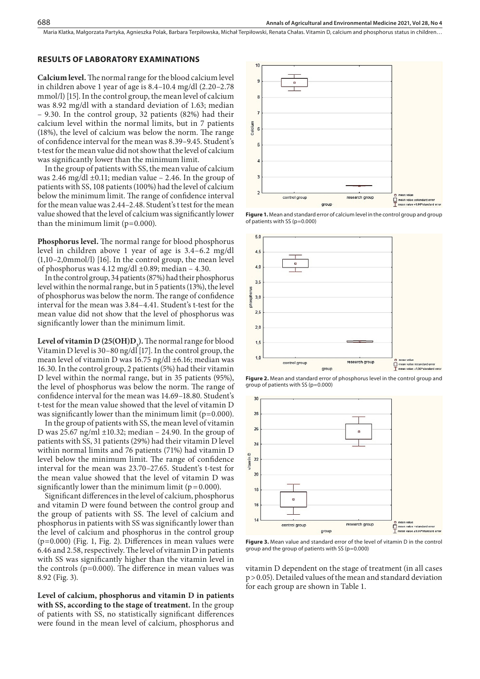Maria Klatka, Małgorzata Partyka, Agnieszka Polak, Barbara Terpiłowska, Michał Terpiłowski, Renata Chałas, Vitamin D, calcium and phosphorus status in children...

#### **RESULTS OF LABORATORY EXAMINATIONS**

**Calcium level.** The normal range for the blood calcium level in children above 1 year of age is 8.4–10.4 mg/dl (2.20–2.78 mmol/l) [15]. In the control group, the mean level of calcium was 8.92 mg/dl with a standard deviation of 1.63; median – 9.30. In the control group, 32 patients (82%) had their calcium level within the normal limits, but in 7 patients (18%), the level of calcium was below the norm. The range of confidence interval for the mean was 8.39–9.45. Student's t-test for the mean value did not show that the level of calcium was significantly lower than the minimum limit.

In the group of patients with SS, the mean value of calcium was 2.46 mg/dl  $\pm$ 0.11; median value – 2.46. In the group of patients with SS, 108 patients (100%) had the level of calcium below the minimum limit. The range of confidence interval for the mean value was 2.44–2.48. Student's t test for the mean value showed that the level of calcium was significantly lower than the minimum limit  $(p=0.000)$ .

**Phosphorus level.** The normal range for blood phosphorus level in children above 1 year of age is 3.4–6.2 mg/dl (1,10–2,0mmol/l) [16]. In the control group, the mean level of phosphorus was 4.12 mg/dl  $\pm$ 0.89; median – 4.30.

In the control group, 34 patients (87%) had their phosphorus level within the normal range, but in 5 patients (13%), the level of phosphorus was below the norm. The range of confidence interval for the mean was 3.84–4.41. Student's t-test for the mean value did not show that the level of phosphorus was significantly lower than the minimum limit.

Level of vitamin D (25(OH)D<sub>3</sub>). The normal range for blood Vitamin D level is 30–80 ng/dl [17]. In the control group, the mean level of vitamin D was 16.75 ng/dl ±6.16; median was 16.30. In the control group, 2 patients (5%) had their vitamin D level within the normal range, but in 35 patients (95%), the level of phosphorus was below the norm. The range of confidence interval for the mean was 14.69–18.80. Student's t-test for the mean value showed that the level of vitamin D was significantly lower than the minimum limit ( $p=0.000$ ).

In the group of patients with SS, the mean level of vitamin D was  $25.67$  ng/ml  $\pm 10.32$ ; median – 24.90. In the group of patients with SS, 31 patients (29%) had their vitamin D level within normal limits and 76 patients (71%) had vitamin D level below the minimum limit. The range of confidence interval for the mean was 23.70–27.65. Student's t-test for the mean value showed that the level of vitamin D was significantly lower than the minimum limit ( $p = 0.000$ ).

Significant differences in the level of calcium, phosphorus and vitamin D were found between the control group and the group of patients with SS. The level of calcium and phosphorus in patients with SS was significantly lower than the level of calcium and phosphorus in the control group (p=0.000) (Fig. 1, Fig. 2). Differences in mean values were 6.46 and 2.58, respectively. The level of vitamin D in patients with SS was significantly higher than the vitamin level in the controls (p=0.000). The difference in mean values was 8.92 (Fig. 3).

**Level of calcium, phosphorus and vitamin D in patients with SS, according to the stage of treatment.** In the group of patients with SS, no statistically significant differences were found in the mean level of calcium, phosphorus and



**Figure 1.** Mean and standard error of calcium level in the control group and group of patients with SS (p=0.000)







**Figure 3.** Mean value and standard error of the level of vitamin D in the control group and the group of patients with SS (p=0.000)

vitamin D dependent on the stage of treatment (in all cases p>0.05). Detailed values of the mean and standard deviation for each group are shown in Table 1.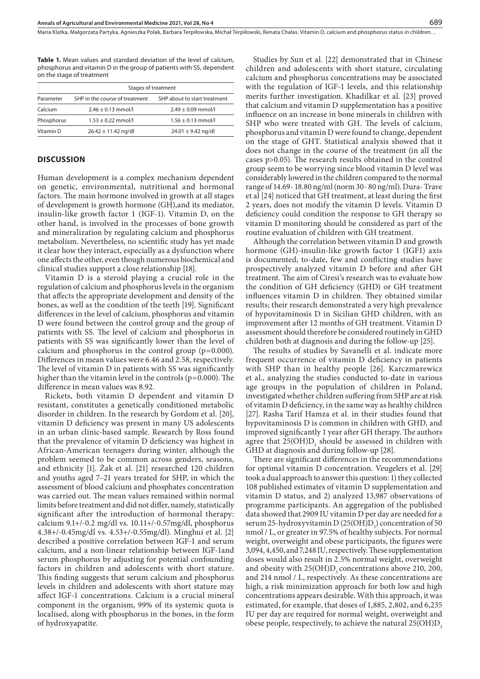**Table 1.** Mean values and standard deviation of the level of calcium, phosphorus and vitamin D in the group of patients with SS, dependent on the stage of treatment

|            | Stages of treatment            |                              |
|------------|--------------------------------|------------------------------|
| Parameter  | SHP in the course of treatment | SHP about to start treatment |
| Calcium    | $2.46 \pm 0.13$ mmol/l         | $2.49 \pm 0.09$ mmol/l       |
| Phosphorus | $1.53 \pm 0.22$ mmol/l         | $1.56 \pm 0.13$ mmol/l       |
| Vitamin D  | $26.42 \pm 11.42$ ng/dl        | $24.01 \pm 9.42$ ng/dl       |

#### **DISCUSSION**

Human development is a complex mechanism dependent on genetic, environmental, nutritional and hormonal factors. The main hormone involved in growth at all stages of development is growth hormone (GH),and its mediator, insulin-like growth factor 1 (IGF-1). Vitamin D, on the other hand, is involved in the processes of bone growth and mineralization by regulating calcium and phosphorus metabolism. Nevertheless, no scientific study has yet made it clear how they interact, especially as a dysfunction where one affects the other, even though numerous biochemical and clinical studies support a close relationship [18].

Vitamin D is a steroid playing a crucial role in the regulation of calcium and phosphorus levels in the organism that affects the appropriate development and density of the bones, as well as the condition of the teeth [19]. Significant differences in the level of calcium, phosphorus and vitamin D were found between the control group and the group of patients with SS. The level of calcium and phosphorus in patients with SS was significantly lower than the level of calcium and phosphorus in the control group  $(p=0.000)$ . Differences in mean values were 6.46 and 2.58, respectively. The level of vitamin D in patients with SS was significantly higher than the vitamin level in the controls (p=0.000). The difference in mean values was 8.92.

Rickets, both vitamin D dependent and vitamin D resistant, constitutes a genetically conditioned metabolic disorder in children. In the research by Gordom et al. [20], vitamin D deficiency was present in many US adolescents in an urban clinic-based sample. Research by Ross found that the prevalence of vitamin D deficiency was highest in African-American teenagers during winter, although the problem seemed to be common across genders, seasons, and ethnicity [1]. Żak et al. [21] researched 120 children and youths aged 7–21 years treated for SHP, in which the assessment of blood calcium and phosphates concentration was carried out. The mean values remained within normal limits before treatment and did not differ, namely, statistically significant after the introduction of hormonal therapy: calcium 9.1+/-0.2 mg/dl vs. 10.11+/-0.57mg/dl, phosphorus 4.38+/-0.45mg/dl vs. 4.53+/-0.55mg/dl). Minghui et al. [2] described a positive correlation between IGF-1 and serum calcium, and a non-linear relationship between IGF-1and serum phosphorus by adjusting for potential confounding factors in children and adolescents with short stature. This finding suggests that serum calcium and phosphorus levels in children and adolescents with short stature may affect IGF-1 concentrations. Calcium is a crucial mineral component in the organism, 99% of its systemic quota is localised, along with phosphorus in the bones, in the form of hydroxyapatite.

Studies by Sun et al. [22] demonstrated that in Chinese children and adolescents with short stature, circulating calcium and phosphorus concentrations may be associated with the regulation of IGF-1 levels, and this relationship merits further investigation. Khadilkar et al. [23] proved that calcium and vitamin D supplementation has a positive influence on an increase in bone minerals in children with SHP who were treated with GH. The levels of calcium, phosphorus and vitamin D were found to change, dependent on the stage of GHT. Statistical analysis showed that it does not change in the course of the treatment (in all the cases p>0.05). The research results obtained in the control group seem to be worrying since blood vitamin D level was considerably lowered in the children compared to the normal range of 14.69- 18.80 ng/ml (norm 30- 80 ng/ml). Dura- Trave et al [24] noticed that GH treatment, at least during the first 2 years, does not modify the vitamin D levels. Vitamin D deficiency could condition the response to GH therapy so vitamin D monitoring should be considered as part of the routine evaluation of children with GH treatment.

Although the correlation between vitamin D and growth hormone (GH)-insulin-like growth factor 1 (IGF1) axis is documented, to-date, few and conflicting studies have prospectively analyzed vitamin D before and after GH treatment. The aim of Ciresi's research was to evaluate how the condition of GH deficiency (GHD) or GH treatment influences vitamin D in children. They obtained similar results; their research demonstrated a very high prevalence of hypovitaminosis D in Sicilian GHD children, with an improvement after 12 months of GH treatment. Vitamin D assessment should therefore be considered routinely in GHD children both at diagnosis and during the follow-up [25].

The results of studies by Savanelli et al. indicate more frequent occurrence of vitamin D deficiency in patients with SHP than in healthy people [26]. Karczmarewicz et al., analyzing the studies conducted to-date in various age groups in the population of children in Poland, investigated whether children suffering from SHP are at risk of vitamin D deficiency, in the same way as healthy children [27]. Rasha Tarif Hamza et al. in their studies found that hypovitaminosis D is common in children with GHD, and improved significantly 1 year after GH therapy. The authors agree that  $25(OH)D_3$  should be assessed in children with GHD at diagnosis and during follow-up [28].

There are significant differences in the recommendations for optimal vitamin D concentration. Veugelers et al. [29] took a dual approach to answer this question: 1) they collected 108 published estimates of vitamin D supplementation and vitamin D status, and 2) analyzed 13,987 observations of programme participants. An aggregation of the published data showed that 2909 IU vitamin D per day are needed for a serum 25-hydroxyvitamin D (25(OH)D<sub>3</sub>) concentration of 50 nmol / L, or greater in 97.5% of healthy subjects. For normal weight, overweight and obese participants, the figures were 3,094, 4,450, and 7,248 IU, respectively. These supplementation doses would also result in 2.5% normal weight, overweight and obesity with  $25(OH)D<sub>3</sub>$  concentrations above 210, 200, and 214 nmol / L, respectively. As these concentrations are high, a risk minimization approach for both low and high concentrations appears desirable. With this approach, it was estimated, for example, that doses of 1,885, 2,802, and 6,235 IU per day are required for normal weight, overweight and obese people, respectively, to achieve the natural 25(OH)D<sub>3</sub>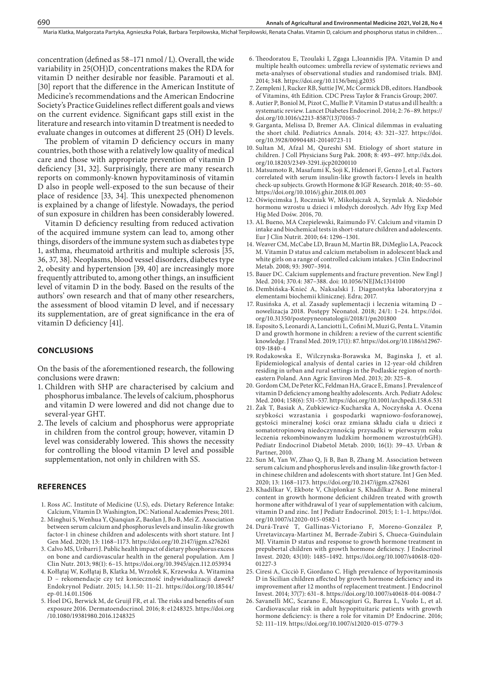Maria Klatka, Małgorzata Partyka, Agnieszka Polak, Barbara Terpiłowska, Michał Terpiłowski, Renata Chałas, Vitamin D, calcium and phosphorus status in children...

concentration (defined as 58–171 nmol / L). Overall, the wide variability in  $25(OH)D_3$  concentrations makes the RDA for vitamin D neither desirable nor feasible. Paramouti et al. [30] report that the difference in the American Institute of Medicine's recommendations and the American Endocrine Society's Practice Guidelines reflect different goals and views on the current evidence. Significant gaps still exist in the literature and research into vitamin D treatment is needed to evaluate changes in outcomes at different 25 (OH) D levels.

The problem of vitamin D deficiency occurs in many countries, both those with a relatively low quality of medical care and those with appropriate prevention of vitamin D deficiency [31, 32]. Surprisingly, there are many research reports on commonly-known hypovitaminosis of vitamin D also in people well-exposed to the sun because of their place of residence [33, 34]. This unexpected phenomenon is explained by a change of lifestyle. Nowadays, the period of sun exposure in children has been considerably lowered.

Vitamin D deficiency resulting from reduced activation of the acquired immune system can lead to, among other things, disorders of the immune system such as diabetes type 1, asthma, rheumatoid arthritis and multiple sclerosis [35, 36, 37, 38]. Neoplasms, blood vessel disorders, diabetes type 2, obesity and hypertension [39, 40] are increasingly more frequently attributed to, among other things, an insufficient level of vitamin D in the body. Based on the results of the authors' own research and that of many other researchers, the assessment of blood vitamin D level, and if necessary its supplementation, are of great significance in the era of vitamin D deficiency [41].

#### **CONCLUSIONS**

On the basis of the aforementioned research, the following conclusions were drawn:

- 1. Children with SHP are characterised by calcium and phosphorus imbalance. The levels of calcium, phosphorus and vitamin D were lowered and did not change due to several-year GHT.
- 2.The levels of calcium and phosphorus were appropriate in children from the control group; however, vitamin D level was considerably lowered. This shows the necessity for controlling the blood vitamin D level and possible supplementation, not only in children with SS.

#### **REFERENCES**

- 1. Ross AC. Institute of Medicine (U.S), eds. Dietary Reference Intake: Calcium, Vitamin D. Washington, DC: National Academies Press; 2011.
- 2. Minghui S, Wenhua Y, Qianqian Z, Baolan J, Bo B, Mei Z. Association between serum calcium and phosphorus levels and insulin-like growth factor-1 in chinese children and adolescents with short stature. Int J Gen Med. 2020; 13: 1168–1173. https://doi.org/10.2147/ijgm.s276261
- 3. Calvo MS, Uribarri J. Public health impact of dietary phosphorus excess on bone and cardiovascular health in the general population. Am J Clin Nutr. 2013; 98(1): 6–15. https://doi.org/10.3945/ajcn.112.053934
- 4. Kołłątaj W, Kołłątaj B, Klatka M, Wrzołek K, Krzewska A. Witamina D – rekomendacje czy też konieczność indywidualizacji dawek? Endokrynol Pediatr. 2015; 14.1.50: 11–21. https://doi.org/10.18544/ ep-01.14.01.1506
- 5. Hoel DG, Berwick M, de Gruijl FR, et al. The risks and benefits of sun exposure 2016. Dermatoendocrinol. 2016; 8: e1248325. https://doi.org /10.1080/19381980.2016.1248325
- 6. Theodoratou E, Tzoulaki I, Zgaga L,Ioannidis JPA. Vitamin D and multiple health outcomes: umbrella review of systematic reviews and meta-analyses of observational studies and randomised trials. BMJ. 2014; 348. https://doi.org/10.1136/bmj.g2035
- 7. Zempleni J, Rucker RB, Suttie JW, Mc Cormick DB, editors. Handbook of Vitamins, 4th Edition. CDC Press Taylor & Francis Group; 2007.
- 8. Autier P, Boniol M, Pizot C, Mullie P. Vitamin D status and ill health: a systematic review. Lancet Diabetes Endocrinol. 2014; 2: 76–89. https:// doi.org/10.1016/s2213-8587(13)70165-7
- 9. Garganta, Melissa D, Bremer AA. Clinical dilemmas in evaluating the short child. Pediatrics Annals. 2014; 43: 321–327. https://doi. org/10.3928/00904481-20140723-11
- 10. Sultan M, Afzal M, Qureshi SM. Etiology of short stature in children. J Coll Physicians Surg Pak. 2008; 8: 493–497. http://dx.doi. org/10.18203/2349-3291.ijcp20200110
- 11. Matsumoto R, Masafumi K, Soji K, Hidenori F, Genzo J, et al. Factors correlated with serum insulin-like growth factors-I levels in health check-up subjects. Growth Hormone & IGF Research. 2018; 40: 55–60. https://doi.org/10.1016/j.ghir.2018.01.003
- 12. Oświęcimska J, Roczniak W, Mikołajczak A, Szymlak A. Niedobór hormonu wzrostu u dzieci i młodych dorosłych. Adv Hyg Exp Med Hig Med Dośw. 2016, 70.
- 13. AL Bueno, MA Czepielewski, Raimundo FV. Calcium and vitamin D intake and biochemical tests in short-stature children and adolescents. Eur J Clin Nutrit. 2010; 64: 1296–1301.
- 14. Weaver CM, McCabe LD, Braun M, Martin BR, DiMeglio LA, Peacock M. Vitamin D status and calcium metabolism in adolescent black and white girls on a range of controlled calcium intakes. J Clin Endocrinol Metab. 2008; 93: 3907–3914.
- 15. Bauer DC. Calcium supplements and fracture prevention. New Engl J Med. 2014; 370.4: 387–388. doi: 10.1056/NEJMc1314100
- 16. Dembińska-Knieć A, Naksalski J. Diagnostyka laboratoryjna z elementami biochemii klinicznej. Edra; 2017.
- 17. Rusińska A, et al. Zasady suplementacji i leczenia witaminą D nowelizacja 2018. Postępy Neonatol. 2018; 24/1: 1–24. https://doi. org/10.31350/postepyneonatologii/2018/1/pn201800
- 18. Esposito S, Leonardi A, Lanciotti L, Cofini M, Muzi G, Penta L. Vitamin D and growth hormone in children: a review of the current scientific knowledge. J Transl Med. 2019; 17(1): 87. https://doi.org/10.1186/s12967- 019-1840-4
- 19. Rodakowska E, Wilczynska-Borawska M, Baginska J, et al. Epidemiological analysis of dental caries in 12-year-old children residing in urban and rural settings in the Podlaskie region of northeastern Poland. Ann Agric Environ Med. 2013; 20: 325–8.
- 20. Gordom CM, De Peter KC, Feldman HA, Grace E, Emans J. Prevalence of vitamin D deficiency among healthy adolescents. Arch. Pediatr Adolesc Med. 2004; 158(6): 531–537. https://doi.org/10.1001/archpedi.158.6.531
- 21. Żak T, Basiak A, Zubkiewicz-Kucharska A, Noczyńska A. Ocena szybkości wzrastania i gospodarki wapniowo-fosforanowej, gęstości mineralnej kości oraz zmiana składu ciała u dzieci z somatotropinową niedoczynnością przysadki w pierwszym roku leczenia rekombinowanym ludzkim hormonem wzrostu(rhGH). Pediatr Endocrinol Diabetol Metab. 2010; 16(1): 39–43. Urban & Partner, 2010.
- 22. Sun M, Yan W, Zhao Q, Ji B, Ban B, Zhang M. Association between serum calcium and phosphorus levels and insulin-like growth factor-1 in chinese children and adolescents with short stature. Int J Gen Med. 2020; 13: 1168–1173. https://doi.org/10.2147/ijgm.s276261
- 23. Khadilkar V, Ekbote V, Chiplonkar S, Khadilkar A. Bone mineral content in growth hormone deficient children treated with growth hormone after withdrawal of 1 year of supplementation with calcium, vitamin D and zinc. Int J Pediatr Endocrinol. 2015; 1: 1–1. https://doi. org/10.1007/s12020-015-0582-1
- 24. Durá-Travé T, Gallinas-Victoriano F, Moreno-González P, Urretavizcaya-Martinez M, Berrade-Zubiri S, Chueca-Guindulain MJ. Vitamin D status and response to growth hormone treatment in prepubertal children with growth hormone deficiency. J Endocrinol Invest. 2020; 43(10): 1485–1492. https://doi.org/10.1007/s40618-020- 01227-3
- 25. Ciresi A, Cicciò F, Giordano C. High prevalence of hypovitaminosis D in Sicilian children affected by growth hormone deficiency and its improvement after 12 months of replacement treatment. J Endocrinol Invest. 2014; 37(7): 631–8. https://doi.org/10.1007/s40618-014-0084-7
- 26. Savanelli MC, Scarano E, Muscogiuri G, Barrea L, Vuolo L, et al. Cardiovascular risk in adult hypopituitaric patients with growth hormone deficiency: is there a role for vitamin D? Endocrine. 2016; 52: 111–119. https://doi.org/10.1007/s12020-015-0779-3